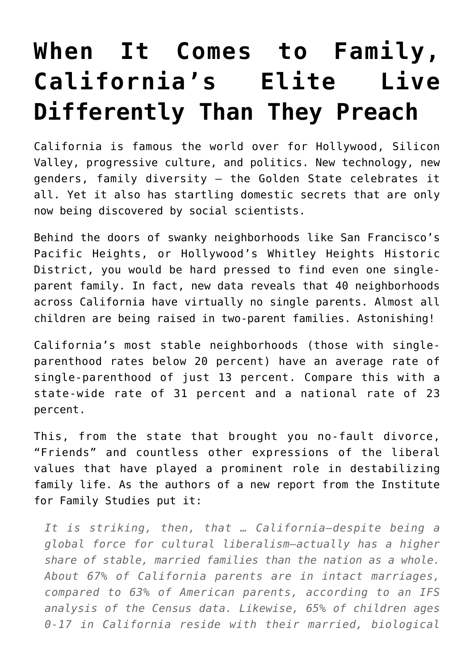## **[When It Comes to Family,](https://intellectualtakeout.org/2020/01/when-it-comes-to-family-californias-elite-live-differently-than-they-preach/) [California's Elite Live](https://intellectualtakeout.org/2020/01/when-it-comes-to-family-californias-elite-live-differently-than-they-preach/) [Differently Than They Preach](https://intellectualtakeout.org/2020/01/when-it-comes-to-family-californias-elite-live-differently-than-they-preach/)**

California is famous the world over for Hollywood, Silicon Valley, progressive culture, and politics. New technology, new genders, family diversity – the Golden State celebrates it all. Yet it also has startling domestic secrets that are only now being discovered by social scientists.

Behind the doors of swanky neighborhoods like San Francisco's Pacific Heights, or Hollywood's Whitley Heights Historic District, you would be hard pressed to find even one singleparent family. In fact, new data reveals that 40 neighborhoods across California have virtually no single parents. Almost all children are being raised in two-parent families. Astonishing!

California's most stable neighborhoods (those with singleparenthood rates below 20 percent) have an average rate of single-parenthood of just 13 percent. Compare this with a state-wide rate of 31 percent and a national rate of 23 percent.

This, from the state that brought you no-fault divorce, "Friends" and countless other expressions of the liberal values that have played a prominent role in destabilizing family life. As the authors of a new report from the Institute for Family Studies put it:

*It is striking, then, that … California—despite being a global force for cultural liberalism—actually has a higher share of stable, married families than the nation as a whole. About 67% of California parents are in intact marriages, compared to 63% of American parents, according to an IFS analysis of the Census data. Likewise, 65% of children ages 0-17 in California reside with their married, biological*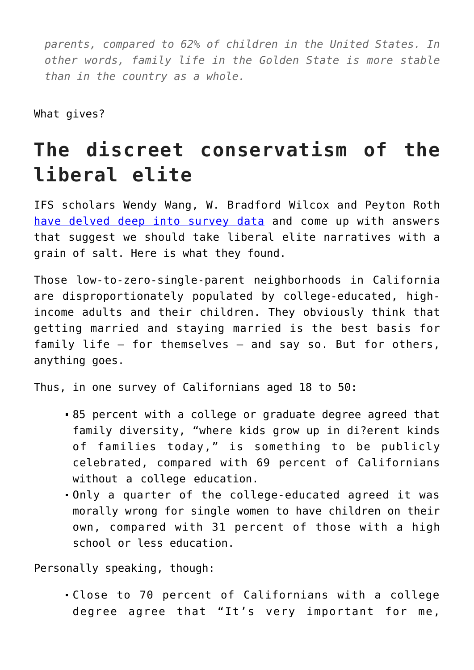*parents, compared to 62% of children in the United States. In other words, family life in the Golden State is more stable than in the country as a whole.*

What gives?

## **The discreet conservatism of the liberal elite**

IFS scholars Wendy Wang, W. Bradford Wilcox and Peyton Roth [have delved deep into survey data](https://ifstudies.org/blog/state-of-contradiction-progressive-family-culture-traditional-family-structure-in-california) and come up with answers that suggest we should take liberal elite narratives with a grain of salt. Here is what they found.

Those low-to-zero-single-parent neighborhoods in California are disproportionately populated by college-educated, highincome adults and their children. They obviously think that getting married and staying married is the best basis for family life – for themselves – and say so. But for others, anything goes.

Thus, in one survey of Californians aged 18 to 50:

- 85 percent with a college or graduate degree agreed that family diversity, "where kids grow up in di?erent kinds of families today," is something to be publicly celebrated, compared with 69 percent of Californians without a college education.
- Only a quarter of the college-educated agreed it was morally wrong for single women to have children on their own, compared with 31 percent of those with a high school or less education.

Personally speaking, though:

Close to 70 percent of Californians with a college degree agree that "It's very important for me,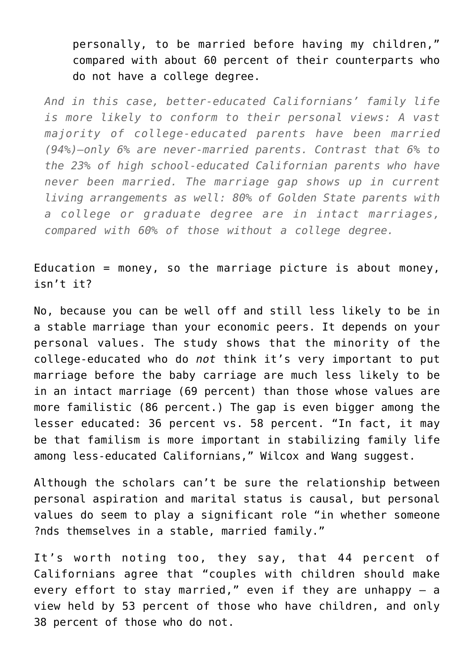personally, to be married before having my children," compared with about 60 percent of their counterparts who do not have a college degree.

*And in this case, better-educated Californians' family life is more likely to conform to their personal views: A vast majority of college-educated parents have been married (94%)—only 6% are never-married parents. Contrast that 6% to the 23% of high school-educated Californian parents who have never been married. The marriage gap shows up in current living arrangements as well: 80% of Golden State parents with a college or graduate degree are in intact marriages, compared with 60% of those without a college degree.*

Education = money, so the marriage picture is about money, isn't it?

No, because you can be well off and still less likely to be in a stable marriage than your economic peers. It depends on your personal values. The study shows that the minority of the college-educated who do *not* think it's very important to put marriage before the baby carriage are much less likely to be in an intact marriage (69 percent) than those whose values are more familistic (86 percent.) The gap is even bigger among the lesser educated: 36 percent vs. 58 percent. "In fact, it may be that familism is more important in stabilizing family life among less-educated Californians," Wilcox and Wang suggest.

Although the scholars can't be sure the relationship between personal aspiration and marital status is causal, but personal values do seem to play a significant role "in whether someone ?nds themselves in a stable, married family."

It's worth noting too, they say, that 44 percent of Californians agree that "couples with children should make every effort to stay married," even if they are unhappy – a view held by 53 percent of those who have children, and only 38 percent of those who do not.